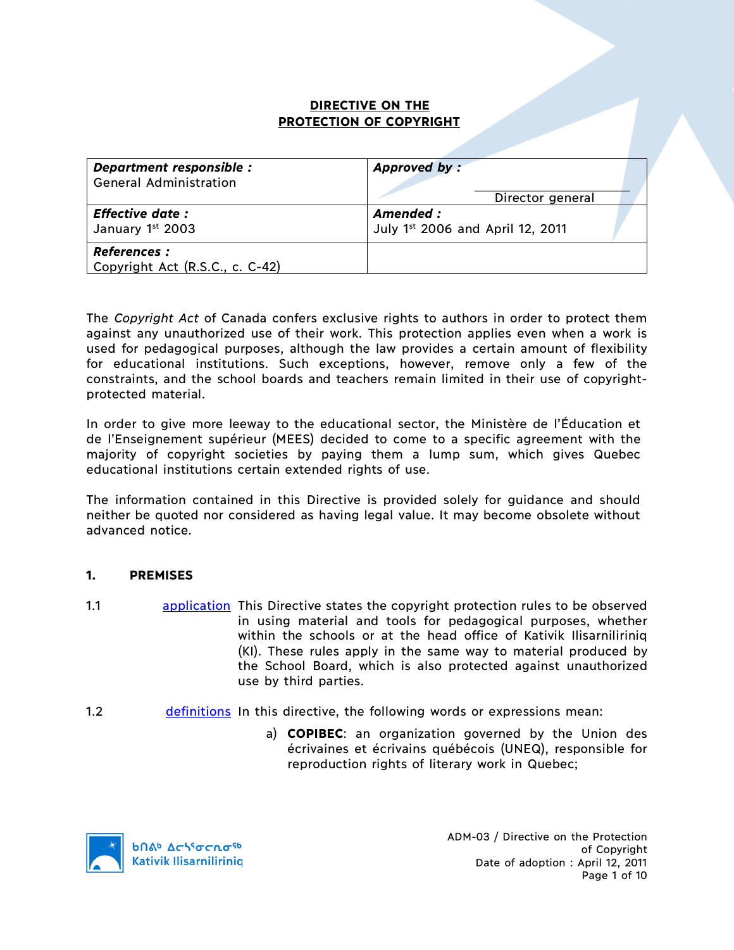# **DIRECTIVE ON THE PROTECTION OF COPYRIGHT**

| Department responsible :                               | Approved by:                     |
|--------------------------------------------------------|----------------------------------|
| <b>General Administration</b>                          | Director general                 |
| <b>Effective date:</b>                                 | Amended :                        |
| January 1st 2003                                       | July 1st 2006 and April 12, 2011 |
| <b>References :</b><br>Copyright Act (R.S.C., c. C-42) |                                  |

The *Copyright Act* of Canada confers exclusive rights to authors in order to protect them against any unauthorized use of their work. This protection applies even when a work is used for pedagogical purposes, although the law provides a certain amount of flexibility for educational institutions. Such exceptions, however, remove only a few of the constraints, and the school boards and teachers remain limited in their use of copyrightprotected material.

In order to give more leeway to the educational sector, the Ministère de l'Éducation et de l'Enseignement supérieur (MEES) decided to come to a specific agreement with the majority of copyright societies by paying them a lump sum, which gives Quebec educational institutions certain extended rights of use.

The information contained in this Directive is provided solely for guidance and should neither be quoted nor considered as having legal value. It may become obsolete without advanced notice.

## **1. PREMISES**

- 1.1 **application** This Directive states the copyright protection rules to be observed in using material and tools for pedagogical purposes, whether within the schools or at the head office of Kativik Ilisarniliriniq (KI). These rules apply in the same way to material produced by the School Board, which is also protected against unauthorized use by third parties.
- 1.2 definitions In this directive, the following words or expressions mean:
	- a) **COPIBEC**: an organization governed by the Union des écrivaines et écrivains québécois (UNEQ), responsible for reproduction rights of literary work in Quebec;

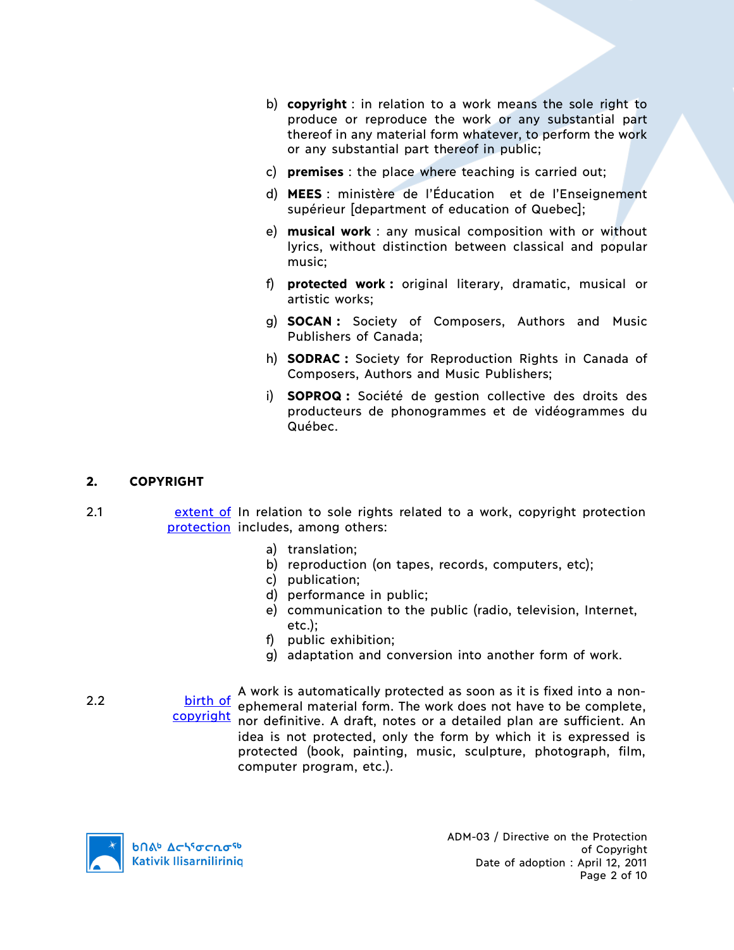- b) **copyright** : in relation to a work means the sole right to produce or reproduce the work or any substantial part thereof in any material form whatever, to perform the work or any substantial part thereof in public;
- c) **premises** : the place where teaching is carried out;
- d) **MEES** : ministère de l'Éducation et de l'Enseignement supérieur [department of education of Quebec];
- e) **musical work** : any musical composition with or without lyrics, without distinction between classical and popular music;
- f) **protected work :** original literary, dramatic, musical or artistic works;
- g) **SOCAN :** Society of Composers, Authors and Music Publishers of Canada;
- h) **SODRAC :** Society for Reproduction Rights in Canada of Composers, Authors and Music Publishers;
- i) **SOPROQ :** Société de gestion collective des droits des producteurs de phonogrammes et de vidéogrammes du Québec.

## **2. COPYRIGHT**

- 2.1 extent of In relation to sole rights related to a work, copyright protection protection includes, among others:
	- a) translation;
	- b) reproduction (on tapes, records, computers, etc);
	- c) publication;
	- d) performance in public;
	- e) communication to the public (radio, television, Internet, etc.);
	- f) public exhibition;
	- g) adaptation and conversion into another form of work.

2.2 **birth of a work is automatically protected as soon as it is fixed into a non-**<br>**A work is automatical form** The work does not have to be complete copyright nor definitive. A draft, notes or a detailed plan are sufficient. An ephemeral material form. The work does not have to be complete, idea is not protected, only the form by which it is expressed is protected (book, painting, music, sculpture, photograph, film, computer program, etc.).



ADM-03 / Directive on the Protection of Copyright Date of adoption : April 12, 2011 Page 2 of 10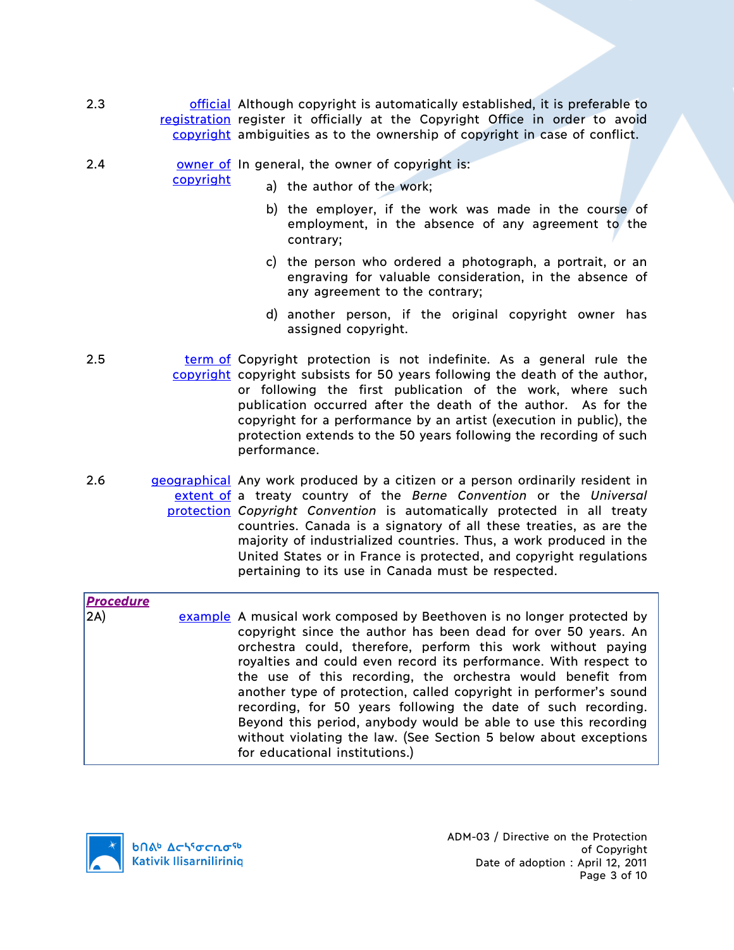- 2.3 **official Although copyright is automatically established, it is preferable to** registration register it officially at the Copyright Office in order to avoid copyright ambiguities as to the ownership of copyright in case of conflict.
- 2.4 **OWER OF STARE COMPTER 12.4 OWER OF CONCERT** OWNER THE STARE ONLY THE STARE STARE STARE STARE STARE STARE STA

copyright

- a) the author of the work;
	- b) the employer, if the work was made in the course of employment, in the absence of any agreement to the contrary;
	- c) the person who ordered a photograph, a portrait, or an engraving for valuable consideration, in the absence of any agreement to the contrary;
	- d) another person, if the original copyright owner has assigned copyright.
- 2.5 **term of Copyright protection is not indefinite. As a general rule the** copyright copyright subsists for 50 years following the death of the author, or following the first publication of the work, where such publication occurred after the death of the author. As for the copyright for a performance by an artist (execution in public), the protection extends to the 50 years following the recording of such performance.
- 2.6 geographical Any work produced by a citizen or a person ordinarily resident in extent of a treaty country of the *Berne Convention* or the *Universal*  protection *Copyright Convention* is automatically protected in all treaty countries. Canada is a signatory of all these treaties, as are the majority of industrialized countries. Thus, a work produced in the United States or in France is protected, and copyright regulations pertaining to its use in Canada must be respected.

| <b>Procedure</b>  |                                                                                                                                                                                                                                                                                                                                                                                                                                                                                                                                                                                                                                                            |
|-------------------|------------------------------------------------------------------------------------------------------------------------------------------------------------------------------------------------------------------------------------------------------------------------------------------------------------------------------------------------------------------------------------------------------------------------------------------------------------------------------------------------------------------------------------------------------------------------------------------------------------------------------------------------------------|
| $\vert 2A\rangle$ | example A musical work composed by Beethoven is no longer protected by<br>copyright since the author has been dead for over 50 years. An<br>orchestra could, therefore, perform this work without paying<br>royalties and could even record its performance. With respect to<br>the use of this recording, the orchestra would benefit from<br>another type of protection, called copyright in performer's sound<br>recording, for 50 years following the date of such recording.<br>Beyond this period, anybody would be able to use this recording<br>without violating the law. (See Section 5 below about exceptions<br>for educational institutions.) |

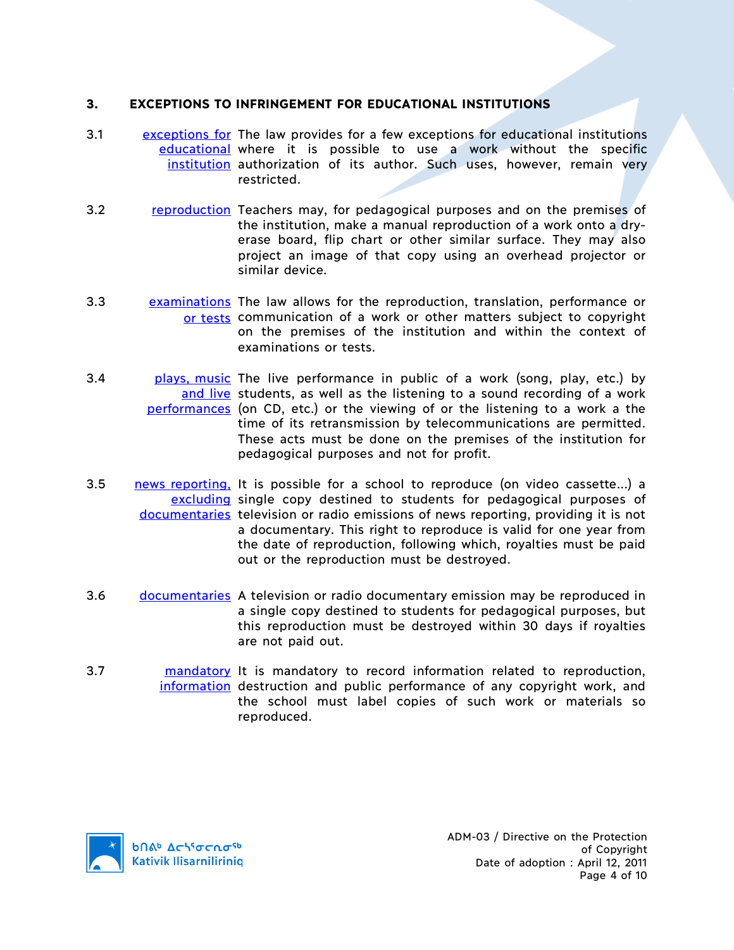#### **3. EXCEPTIONS TO INFRINGEMENT FOR EDUCATIONAL INSTITUTIONS**

- 3.1 exceptions for The law provides for a few exceptions for educational institutions educational where it is possible to use a work without the specific institution authorization of its author. Such uses, however, remain very restricted.
- 3.2 reproduction Teachers may, for pedagogical purposes and on the premises of the institution, make a manual reproduction of a work onto a dryerase board, flip chart or other similar surface. They may also project an image of that copy using an overhead projector or similar device.
- 3.3 examinations The law allows for the reproduction, translation, performance or or tests communication of a work or other matters subject to copyright on the premises of the institution and within the context of examinations or tests.
- 3.4 **plays, music** The live performance in public of a work (song, play, etc.) by and live students, as well as the listening to a sound recording of a work performances (on CD, etc.) or the viewing of or the listening to a work a the time of its retransmission by telecommunications are permitted. These acts must be done on the premises of the institution for pedagogical purposes and not for profit.
- 3.5 **news reporting, It is possible for a school to reproduce (on video cassette...) a** excluding single copy destined to students for pedagogical purposes of documentaries television or radio emissions of news reporting, providing it is not a documentary. This right to reproduce is valid for one year from the date of reproduction, following which, royalties must be paid out or the reproduction must be destroyed.
- 3.6 documentaries A television or radio documentary emission may be reproduced in a single copy destined to students for pedagogical purposes, but this reproduction must be destroyed within 30 days if royalties are not paid out.
- 3.7 mandatory It is mandatory to record information related to reproduction, information destruction and public performance of any copyright work, and the school must label copies of such work or materials so reproduced.

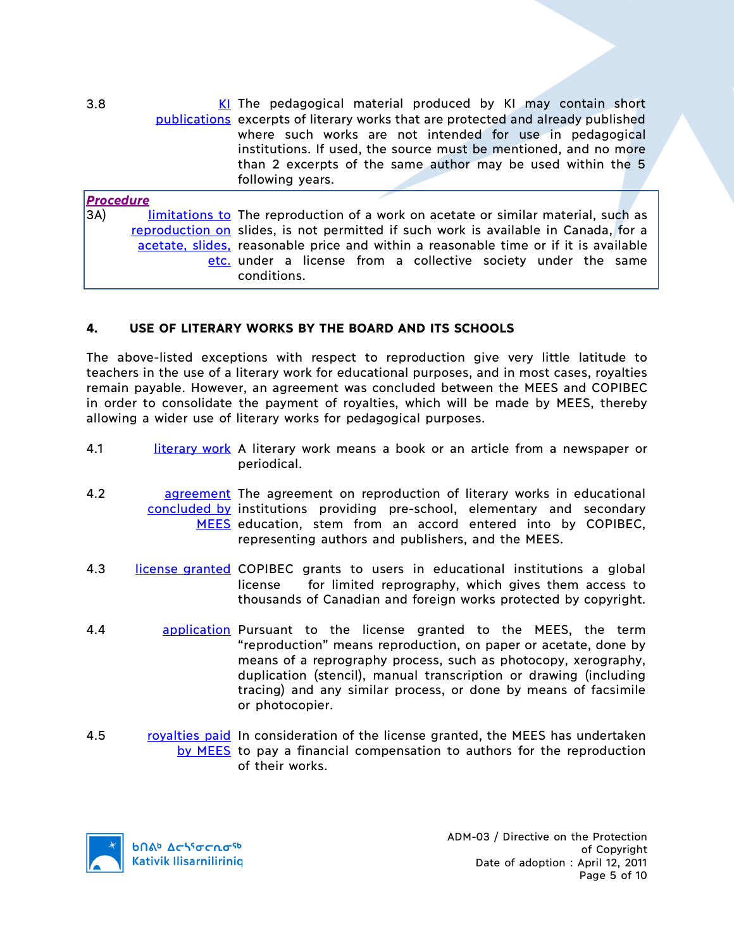publications excerpts of literary works that are protected and already published The pedagogical material produced by KI may contain short where such works are not intended for use in pedagogical institutions. If used, the source must be mentioned, and no more than 2 excerpts of the same author may be used within the 5 following years.

| <b>Procedure</b> |                                                                                      |
|------------------|--------------------------------------------------------------------------------------|
| 3A)              | limitations to The reproduction of a work on acetate or similar material, such as    |
|                  | reproduction on slides, is not permitted if such work is available in Canada, for a  |
|                  | acetate, slides, reasonable price and within a reasonable time or if it is available |
|                  | etc. under a license from a collective society under the same                        |
|                  | conditions.                                                                          |

# **4. USE OF LITERARY WORKS BY THE BOARD AND ITS SCHOOLS**

The above-listed exceptions with respect to reproduction give very little latitude to teachers in the use of a literary work for educational purposes, and in most cases, royalties remain payable. However, an agreement was concluded between the MEES and COPIBEC in order to consolidate the payment of royalties, which will be made by MEES, thereby allowing a wider use of literary works for pedagogical purposes.

- 4.1 literary work A literary work means a book or an article from a newspaper or periodical.
- 4.2 **agreement** The agreement on reproduction of literary works in educational concluded by institutions providing pre-school, elementary and secondary MEES education, stem from an accord entered into by COPIBEC, representing authors and publishers, and the MEES.
- 4.3 license granted COPIBEC grants to users in educational institutions a global license for limited reprography, which gives them access to thousands of Canadian and foreign works protected by copyright.
- 4.4 **application Pursuant to the license granted to the MEES, the term** "reproduction" means reproduction, on paper or acetate, done by means of a reprography process, such as photocopy, xerography, duplication (stencil), manual transcription or drawing (including tracing) and any similar process, or done by means of facsimile or photocopier.
- 4.5 royalties paid In consideration of the license granted, the MEES has undertaken by MEES to pay a financial compensation to authors for the reproduction of their works.

**b**በል<sup>b</sup>  $\Delta$ ch<sup>s</sup>σcnσ<sup>sb</sup> **Kativik Ilisarniliriniq** 

 $3.8$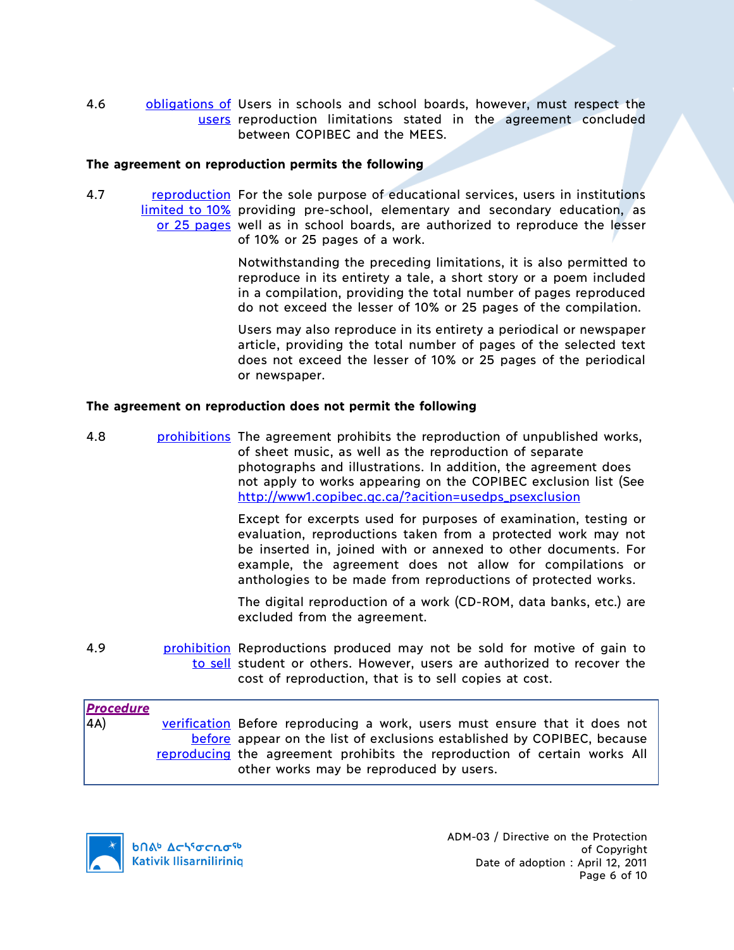4.6 **obligations of Users in schools and school boards, however, must respect the** users reproduction limitations stated in the agreement concluded between COPIBEC and the MEES.

#### **The agreement on reproduction permits the following**

4.7 **reproduction** For the sole purpose of educational services, users in institutions limited to 10% providing pre-school, elementary and secondary education, as or 25 pages well as in school boards, are authorized to reproduce the lesser of 10% or 25 pages of a work.

> Notwithstanding the preceding limitations, it is also permitted to reproduce in its entirety a tale, a short story or a poem included in a compilation, providing the total number of pages reproduced do not exceed the lesser of 10% or 25 pages of the compilation.

> Users may also reproduce in its entirety a periodical or newspaper article, providing the total number of pages of the selected text does not exceed the lesser of 10% or 25 pages of the periodical or newspaper.

#### **The agreement on reproduction does not permit the following**

4.8 **prohibitions** The agreement prohibits the reproduction of unpublished works, of sheet music, as well as the reproduction of separate photographs and illustrations. In addition, the agreement does not apply to works appearing on the COPIBEC exclusion list (See http://www1.copibec.qc.ca/?acition=usedps\_psexclusion

> Except for excerpts used for purposes of examination, testing or evaluation, reproductions taken from a protected work may not be inserted in, joined with or annexed to other documents. For example, the agreement does not allow for compilations or anthologies to be made from reproductions of protected works.

> The digital reproduction of a work (CD-ROM, data banks, etc.) are excluded from the agreement.

4.9 **prohibition** Reproductions produced may not be sold for motive of gain to to sell student or others. However, users are authorized to recover the cost of reproduction, that is to sell copies at cost.

| <b>Procedure</b> |                                                                            |
|------------------|----------------------------------------------------------------------------|
| $\vert$ 4A)      | verification Before reproducing a work, users must ensure that it does not |
|                  | before appear on the list of exclusions established by COPIBEC, because    |
|                  | reproducing the agreement prohibits the reproduction of certain works All  |
|                  | other works may be reproduced by users.                                    |

**b**በል<sup>b</sup> Δςιγσς κα<sup>ς 6</sup> **Kativik Ilisarniliriniq**  ADM-03 / Directive on the Protection of Copyright Date of adoption : April 12, 2011 Page 6 of 10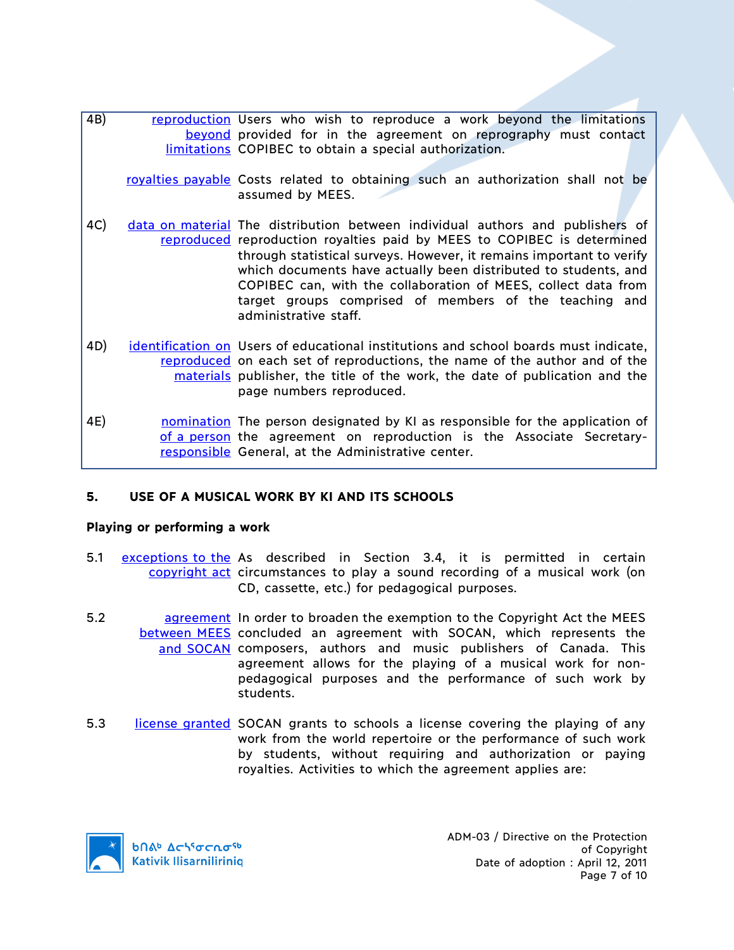- 4B) reproduction Users who wish to reproduce a work beyond the limitations beyond provided for in the agreement on reprography must contact limitations COPIBEC to obtain a special authorization. royalties payable Costs related to obtaining such an authorization shall not be assumed by MEES. 4C) data on material The distribution between individual authors and publishers of reproduced reproduction royalties paid by MEES to COPIBEC is determined through statistical surveys. However, it remains important to verify which documents have actually been distributed to students, and COPIBEC can, with the collaboration of MEES, collect data from target groups comprised of members of the teaching and administrative staff. 4D) identification on Users of educational institutions and school boards must indicate, reproduced on each set of reproductions, the name of the author and of the materials publisher, the title of the work, the date of publication and the page numbers reproduced. 4E) **nomination** The person designated by KI as responsible for the application of
- of a person the agreement on reproduction is the Associate Secretaryresponsible General, at the Administrative center.

## **5. USE OF A MUSICAL WORK BY KI AND ITS SCHOOLS**

#### **Playing or performing a work**

- 5.1 exceptions to the As described in Section 3.4, it is permitted in certain copyright act circumstances to play a sound recording of a musical work (on CD, cassette, etc.) for pedagogical purposes.
- 5.2 **agreement** In order to broaden the exemption to the Copyright Act the MEES between MEES concluded an agreement with SOCAN, which represents the and SOCAN composers, authors and music publishers of Canada. This agreement allows for the playing of a musical work for nonpedagogical purposes and the performance of such work by students.
- 5.3 license granted SOCAN grants to schools a license covering the playing of any work from the world repertoire or the performance of such work by students, without requiring and authorization or paying royalties. Activities to which the agreement applies are:

**b**በል<sup>b</sup>  $\Delta$ ch<sup>s</sup>σcnσ<sup>sb</sup> **Kativik Ilisarniliriniq**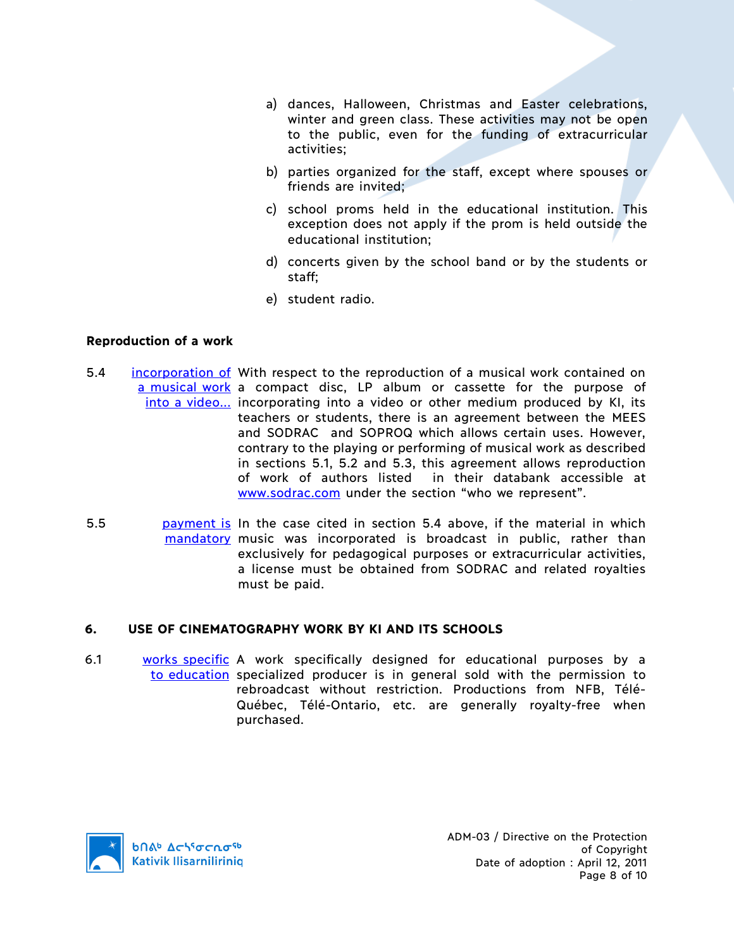- a) dances, Halloween, Christmas and Easter celebrations, winter and green class. These activities may not be open to the public, even for the funding of extracurricular activities;
- b) parties organized for the staff, except where spouses or friends are invited;
- c) school proms held in the educational institution. This exception does not apply if the prom is held outside the educational institution;
- d) concerts given by the school band or by the students or staff;
- e) student radio.

#### **Reproduction of a work**

- 5.4 **incorporation of** With respect to the reproduction of a musical work contained on a musical work a compact disc, LP album or cassette for the purpose of into a video... incorporating into a video or other medium produced by KI, its teachers or students, there is an agreement between the MEES and SODRAC and SOPROQ which allows certain uses. However, contrary to the playing or performing of musical work as described in sections 5.1, 5.2 and 5.3, this agreement allows reproduction of work of authors listed in their databank accessible at www.sodrac.com under the section "who we represent".
- 5.5 **payment is** In the case cited in section 5.4 above, if the material in which mandatory music was incorporated is broadcast in public, rather than exclusively for pedagogical purposes or extracurricular activities, a license must be obtained from SODRAC and related royalties must be paid.

## **6. USE OF CINEMATOGRAPHY WORK BY KI AND ITS SCHOOLS**

6.1 works specific A work specifically designed for educational purposes by a to education specialized producer is in general sold with the permission to rebroadcast without restriction. Productions from NFB, Télé-Québec, Télé-Ontario, etc. are generally royalty-free when purchased.

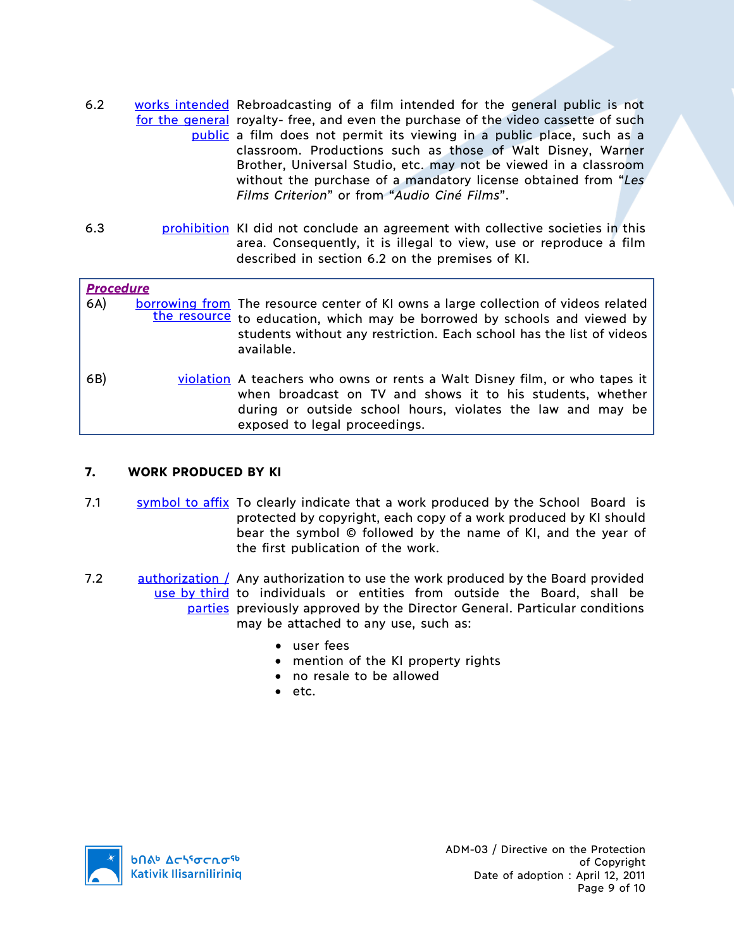- 6.2 works intended Rebroadcasting of a film intended for the general public is not for the general royalty- free, and even the purchase of the video cassette of such public a film does not permit its viewing in a public place, such as a classroom. Productions such as those of Walt Disney, Warner Brother, Universal Studio, etc. may not be viewed in a classroom without the purchase of a mandatory license obtained from "*Les Films Criterion*" or from "*Audio Ciné Films*".
- 6.3 **prohibition** KI did not conclude an agreement with collective societies in this area. Consequently, it is illegal to view, use or reproduce a film described in section 6.2 on the premises of KI.

| <b>Procedure</b><br>6A) | borrowing from The resource center of KI owns a large collection of videos related<br>the resource to education, which may be borrowed by schools and viewed by<br>students without any restriction. Each school has the list of videos<br>available. |
|-------------------------|-------------------------------------------------------------------------------------------------------------------------------------------------------------------------------------------------------------------------------------------------------|
| 6B)                     | violation A teachers who owns or rents a Walt Disney film, or who tapes it<br>when broadcast on TV and shows it to his students, whether<br>during or outside school hours, violates the law and may be<br>exposed to legal proceedings.              |

## **7. WORK PRODUCED BY KI**

- 7.1 symbol to affix To clearly indicate that a work produced by the School Board is protected by copyright, each copy of a work produced by KI should bear the symbol © followed by the name of KI, and the year of the first publication of the work.
- 7.2 authorization / Any authorization to use the work produced by the Board provided use by third to individuals or entities from outside the Board, shall be **parties** previously approved by the Director General. Particular conditions may be attached to any use, such as:
	- user fees
	- mention of the KI property rights
	- no resale to be allowed
	- etc.